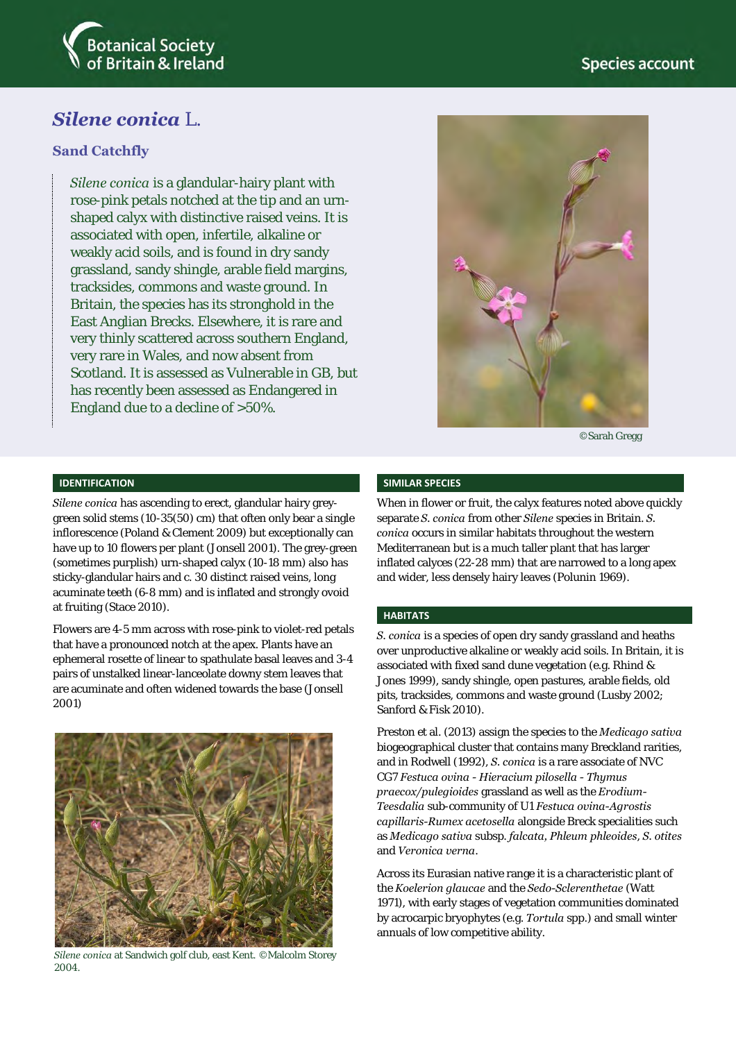

# *Silene conica* L.

### **Sand Catchfly**

*Silene conica* is a glandular-hairy plant with rose-pink petals notched at the tip and an urnshaped calyx with distinctive raised veins. It is associated with open, infertile, alkaline or weakly acid soils, and is found in dry sandy grassland, sandy shingle, arable field margins, tracksides, commons and waste ground. In Britain, the species has its stronghold in the East Anglian Brecks. Elsewhere, it is rare and very thinly scattered across southern England, very rare in Wales, and now absent from Scotland. It is assessed as Vulnerable in GB, but has recently been assessed as Endangered in England due to a decline of >50%.



©Sarah Gregg

#### **IDENTIFICATION**

*Silene conica* has ascending to erect, glandular hairy greygreen solid stems (10-35(50) cm) that often only bear a single inflorescence (Poland & Clement 2009) but exceptionally can have up to 10 flowers per plant (Jonsell 2001). The grey-green (sometimes purplish) urn-shaped calyx (10-18 mm) also has sticky-glandular hairs and c. 30 distinct raised veins, long acuminate teeth (6-8 mm) and is inflated and strongly ovoid at fruiting (Stace 2010).

Flowers are 4-5 mm across with rose-pink to violet-red petals that have a pronounced notch at the apex. Plants have an ephemeral rosette of linear to spathulate basal leaves and 3-4 pairs of unstalked linear-lanceolate downy stem leaves that are acuminate and often widened towards the base (Jonsell 2001)



*Silene conica* at Sandwich golf club, east Kent. ©Malcolm Storey 2004.

#### **SIMILAR SPECIES**

When in flower or fruit, the calyx features noted above quickly separate *S. conica* from other *Silene* species in Britain. *S. conica* occurs in similar habitats throughout the western Mediterranean but is a much taller plant that has larger inflated calyces (22-28 mm) that are narrowed to a long apex and wider, less densely hairy leaves (Polunin 1969).

#### **HABITATS**

*S. conica* is a species of open dry sandy grassland and heaths over unproductive alkaline or weakly acid soils. In Britain, it is associated with fixed sand dune vegetation (e.g. Rhind & Jones 1999), sandy shingle, open pastures, arable fields, old pits, tracksides, commons and waste ground (Lusby 2002; Sanford & Fisk 2010).

Preston et al. (2013) assign the species to the *Medicago sativa* biogeographical cluster that contains many Breckland rarities, and in Rodwell (1992), *S. conica* is a rare associate of NVC CG7 *Festuca ovina - Hieracium pilosella - Thymus praecox/pulegioides* grassland as well as the *Erodium-Teesdalia* sub-community of U1 *Festuca ovina-Agrostis capillaris-Rumex acetosella* alongside Breck specialities such as *Medicago sativa* subsp. *falcata, Phleum phleoides*, *S. otites* and *Veronica verna*.

Across its Eurasian native range it is a characteristic plant of the *Koelerion glaucae* and the *Sedo-Sclerenthetae* (Watt 1971), with early stages of vegetation communities dominated by acrocarpic bryophytes (e.g. *Tortula* spp.) and small winter annuals of low competitive ability.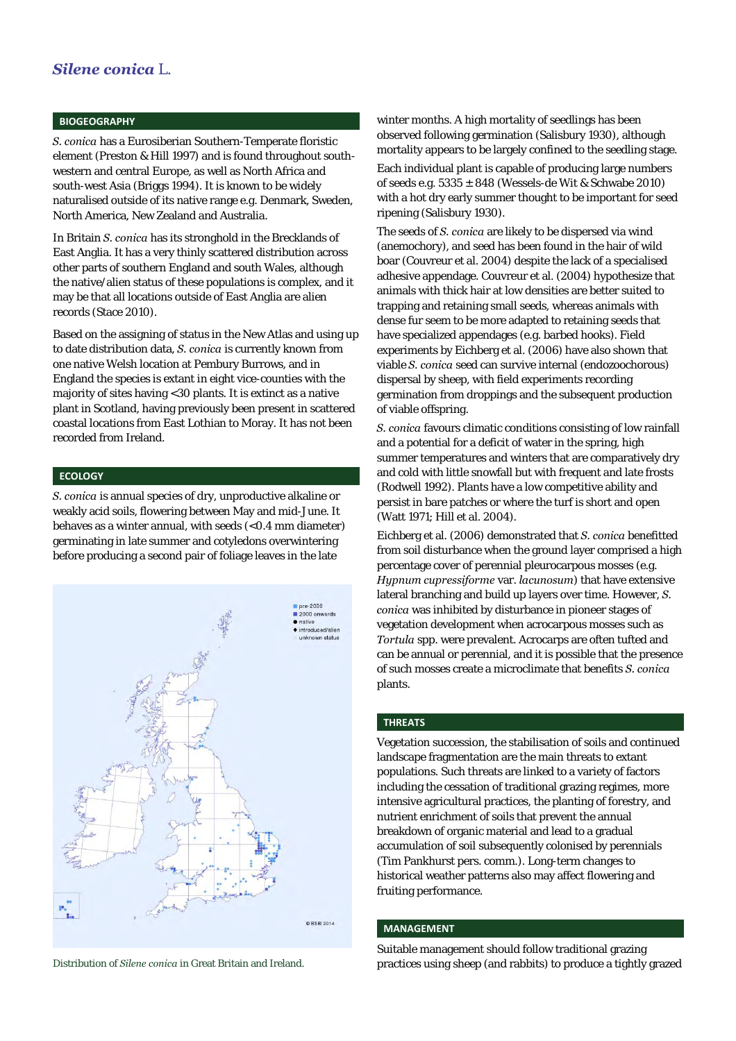#### **BIOGEOGRAPHY**

*S. conica* has a Eurosiberian Southern-Temperate floristic element (Preston & Hill 1997) and is found throughout southwestern and central Europe, as well as North Africa and south-west Asia (Briggs 1994). It is known to be widely naturalised outside of its native range e.g. Denmark, Sweden, North America, New Zealand and Australia.

In Britain *S. conica* has its stronghold in the Brecklands of East Anglia. It has a very thinly scattered distribution across other parts of southern England and south Wales, although the native/alien status of these populations is complex, and it may be that all locations outside of East Anglia are alien records (Stace 2010).

Based on the assigning of status in the New Atlas and using up to date distribution data, *S. conica* is currently known from one native Welsh location at Pembury Burrows, and in England the species is extant in eight vice-counties with the majority of sites having <30 plants. It is extinct as a native plant in Scotland, having previously been present in scattered coastal locations from East Lothian to Moray. It has not been recorded from Ireland.

#### **ECOLOGY**

*S. conica* is annual species of dry, unproductive alkaline or weakly acid soils, flowering between May and mid-June. It behaves as a winter annual, with seeds (<0.4 mm diameter) germinating in late summer and cotyledons overwintering before producing a second pair of foliage leaves in the late



winter months. A high mortality of seedlings has been observed following germination (Salisbury 1930), although mortality appears to be largely confined to the seedling stage.

Each individual plant is capable of producing large numbers of seeds e.g.  $5335 \pm 848$  (Wessels-de Wit & Schwabe 2010) with a hot dry early summer thought to be important for seed ripening (Salisbury 1930).

The seeds of *S. conica* are likely to be dispersed via wind (anemochory), and seed has been found in the hair of wild boar (Couvreur et al. 2004) despite the lack of a specialised adhesive appendage. Couvreur et al. (2004) hypothesize that animals with thick hair at low densities are better suited to trapping and retaining small seeds, whereas animals with dense fur seem to be more adapted to retaining seeds that have specialized appendages (e.g. barbed hooks). Field experiments by Eichberg et al. (2006) have also shown that viable *S. conica* seed can survive internal (endozoochorous) dispersal by sheep, with field experiments recording germination from droppings and the subsequent production of viable offspring.

*S. conica* favours climatic conditions consisting of low rainfall and a potential for a deficit of water in the spring, high summer temperatures and winters that are comparatively dry and cold with little snowfall but with frequent and late frosts (Rodwell 1992). Plants have a low competitive ability and persist in bare patches or where the turf is short and open (Watt 1971; Hill et al. 2004).

Eichberg et al. (2006) demonstrated that *S. conica* benefitted from soil disturbance when the ground layer comprised a high percentage cover of perennial pleurocarpous mosses (e.g. *Hypnum cupressiforme* var. *lacunosum*) that have extensive lateral branching and build up layers over time. However, *S. conica* was inhibited by disturbance in pioneer stages of vegetation development when acrocarpous mosses such as *Tortula* spp. were prevalent. Acrocarps are often tufted and can be annual or perennial, and it is possible that the presence of such mosses create a microclimate that benefits *S. conica* plants.

#### **THREATS**

Vegetation succession, the stabilisation of soils and continued landscape fragmentation are the main threats to extant populations. Such threats are linked to a variety of factors including the cessation of traditional grazing regimes, more intensive agricultural practices, the planting of forestry, and nutrient enrichment of soils that prevent the annual breakdown of organic material and lead to a gradual accumulation of soil subsequently colonised by perennials (Tim Pankhurst pers. comm.). Long-term changes to historical weather patterns also may affect flowering and fruiting performance.

#### **MANAGEMENT**

Suitable management should follow traditional grazing Distribution of *Silene conica* in Great Britain and Ireland. practices using sheep (and rabbits) to produce a tightly grazed